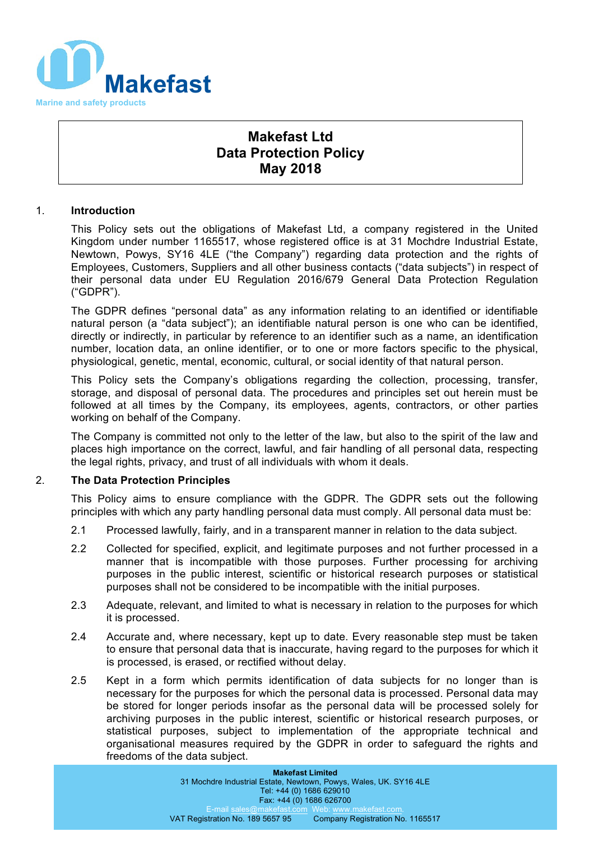

# **Makefast Ltd Data Protection Policy May 2018**

## 1. **Introduction**

This Policy sets out the obligations of Makefast Ltd, a company registered in the United Kingdom under number 1165517, whose registered office is at 31 Mochdre Industrial Estate, Newtown, Powys, SY16 4LE ("the Company") regarding data protection and the rights of Employees, Customers, Suppliers and all other business contacts ("data subjects") in respect of their personal data under EU Regulation 2016/679 General Data Protection Regulation ("GDPR").

The GDPR defines "personal data" as any information relating to an identified or identifiable natural person (a "data subject"); an identifiable natural person is one who can be identified, directly or indirectly, in particular by reference to an identifier such as a name, an identification number, location data, an online identifier, or to one or more factors specific to the physical, physiological, genetic, mental, economic, cultural, or social identity of that natural person.

This Policy sets the Company's obligations regarding the collection, processing, transfer, storage, and disposal of personal data. The procedures and principles set out herein must be followed at all times by the Company, its employees, agents, contractors, or other parties working on behalf of the Company.

The Company is committed not only to the letter of the law, but also to the spirit of the law and places high importance on the correct, lawful, and fair handling of all personal data, respecting the legal rights, privacy, and trust of all individuals with whom it deals.

#### 2. **The Data Protection Principles**

This Policy aims to ensure compliance with the GDPR. The GDPR sets out the following principles with which any party handling personal data must comply. All personal data must be:

- 2.1 Processed lawfully, fairly, and in a transparent manner in relation to the data subject.
- 2.2 Collected for specified, explicit, and legitimate purposes and not further processed in a manner that is incompatible with those purposes. Further processing for archiving purposes in the public interest, scientific or historical research purposes or statistical purposes shall not be considered to be incompatible with the initial purposes.
- 2.3 Adequate, relevant, and limited to what is necessary in relation to the purposes for which it is processed.
- 2.4 Accurate and, where necessary, kept up to date. Every reasonable step must be taken to ensure that personal data that is inaccurate, having regard to the purposes for which it is processed, is erased, or rectified without delay.
- 2.5 Kept in a form which permits identification of data subjects for no longer than is necessary for the purposes for which the personal data is processed. Personal data may be stored for longer periods insofar as the personal data will be processed solely for archiving purposes in the public interest, scientific or historical research purposes, or statistical purposes, subject to implementation of the appropriate technical and organisational measures required by the GDPR in order to safeguard the rights and freedoms of the data subject.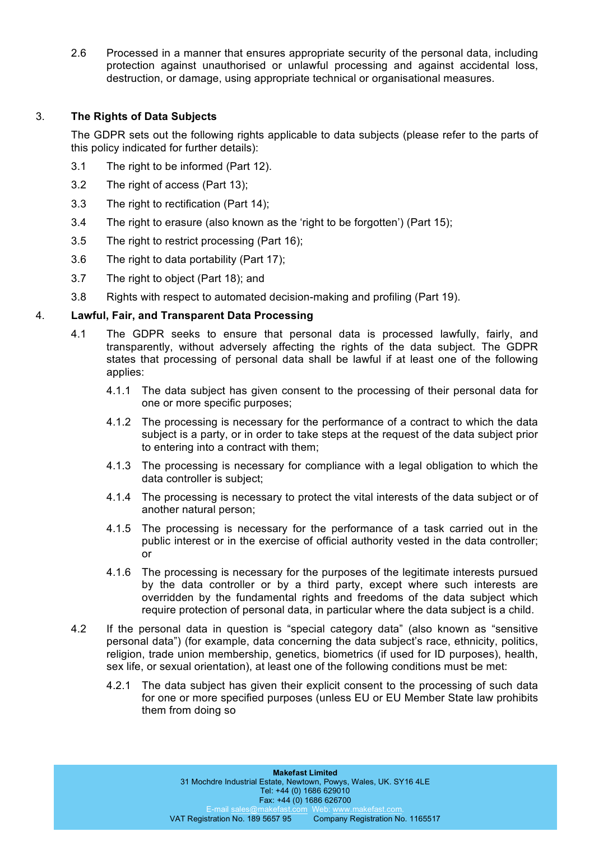2.6 Processed in a manner that ensures appropriate security of the personal data, including protection against unauthorised or unlawful processing and against accidental loss, destruction, or damage, using appropriate technical or organisational measures.

# 3. **The Rights of Data Subjects**

The GDPR sets out the following rights applicable to data subjects (please refer to the parts of this policy indicated for further details):

- 3.1 The right to be informed (Part 12).
- 3.2 The right of access (Part 13);
- 3.3 The right to rectification (Part 14);
- 3.4 The right to erasure (also known as the 'right to be forgotten') (Part 15);
- 3.5 The right to restrict processing (Part 16);
- 3.6 The right to data portability (Part 17);
- 3.7 The right to object (Part 18); and
- 3.8 Rights with respect to automated decision-making and profiling (Part 19).

## 4. **Lawful, Fair, and Transparent Data Processing**

- 4.1 The GDPR seeks to ensure that personal data is processed lawfully, fairly, and transparently, without adversely affecting the rights of the data subject. The GDPR states that processing of personal data shall be lawful if at least one of the following applies:
	- 4.1.1 The data subject has given consent to the processing of their personal data for one or more specific purposes;
	- 4.1.2 The processing is necessary for the performance of a contract to which the data subject is a party, or in order to take steps at the request of the data subject prior to entering into a contract with them;
	- 4.1.3 The processing is necessary for compliance with a legal obligation to which the data controller is subject;
	- 4.1.4 The processing is necessary to protect the vital interests of the data subject or of another natural person;
	- 4.1.5 The processing is necessary for the performance of a task carried out in the public interest or in the exercise of official authority vested in the data controller; or
	- 4.1.6 The processing is necessary for the purposes of the legitimate interests pursued by the data controller or by a third party, except where such interests are overridden by the fundamental rights and freedoms of the data subject which require protection of personal data, in particular where the data subject is a child.
- 4.2 If the personal data in question is "special category data" (also known as "sensitive personal data") (for example, data concerning the data subject's race, ethnicity, politics, religion, trade union membership, genetics, biometrics (if used for ID purposes), health, sex life, or sexual orientation), at least one of the following conditions must be met:
	- 4.2.1 The data subject has given their explicit consent to the processing of such data for one or more specified purposes (unless EU or EU Member State law prohibits them from doing so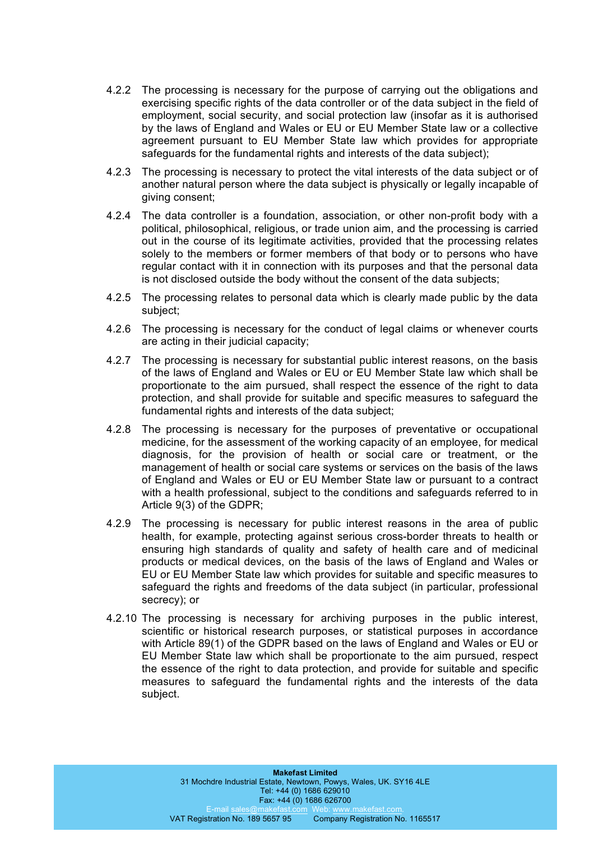- 4.2.2 The processing is necessary for the purpose of carrying out the obligations and exercising specific rights of the data controller or of the data subject in the field of employment, social security, and social protection law (insofar as it is authorised by the laws of England and Wales or EU or EU Member State law or a collective agreement pursuant to EU Member State law which provides for appropriate safeguards for the fundamental rights and interests of the data subject);
- 4.2.3 The processing is necessary to protect the vital interests of the data subject or of another natural person where the data subject is physically or legally incapable of giving consent;
- 4.2.4 The data controller is a foundation, association, or other non-profit body with a political, philosophical, religious, or trade union aim, and the processing is carried out in the course of its legitimate activities, provided that the processing relates solely to the members or former members of that body or to persons who have regular contact with it in connection with its purposes and that the personal data is not disclosed outside the body without the consent of the data subjects;
- 4.2.5 The processing relates to personal data which is clearly made public by the data subject;
- 4.2.6 The processing is necessary for the conduct of legal claims or whenever courts are acting in their judicial capacity;
- 4.2.7 The processing is necessary for substantial public interest reasons, on the basis of the laws of England and Wales or EU or EU Member State law which shall be proportionate to the aim pursued, shall respect the essence of the right to data protection, and shall provide for suitable and specific measures to safeguard the fundamental rights and interests of the data subject;
- 4.2.8 The processing is necessary for the purposes of preventative or occupational medicine, for the assessment of the working capacity of an employee, for medical diagnosis, for the provision of health or social care or treatment, or the management of health or social care systems or services on the basis of the laws of England and Wales or EU or EU Member State law or pursuant to a contract with a health professional, subject to the conditions and safeguards referred to in Article 9(3) of the GDPR;
- 4.2.9 The processing is necessary for public interest reasons in the area of public health, for example, protecting against serious cross-border threats to health or ensuring high standards of quality and safety of health care and of medicinal products or medical devices, on the basis of the laws of England and Wales or EU or EU Member State law which provides for suitable and specific measures to safeguard the rights and freedoms of the data subject (in particular, professional secrecy); or
- 4.2.10 The processing is necessary for archiving purposes in the public interest, scientific or historical research purposes, or statistical purposes in accordance with Article 89(1) of the GDPR based on the laws of England and Wales or EU or EU Member State law which shall be proportionate to the aim pursued, respect the essence of the right to data protection, and provide for suitable and specific measures to safeguard the fundamental rights and the interests of the data subject.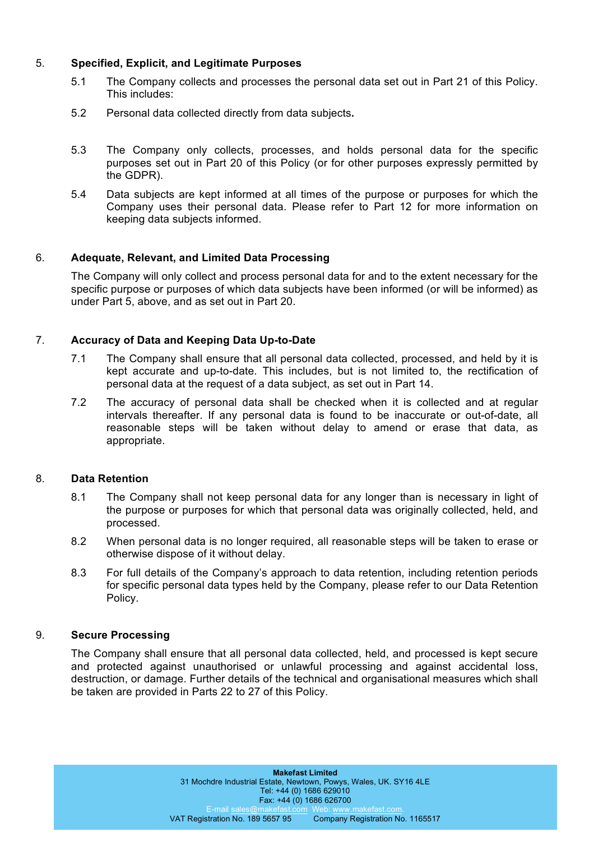# 5. **Specified, Explicit, and Legitimate Purposes**

- 5.1 The Company collects and processes the personal data set out in Part 21 of this Policy. This includes:
- 5.2 Personal data collected directly from data subjects**.**
- 5.3 The Company only collects, processes, and holds personal data for the specific purposes set out in Part 20 of this Policy (or for other purposes expressly permitted by the GDPR).
- 5.4 Data subjects are kept informed at all times of the purpose or purposes for which the Company uses their personal data. Please refer to Part 12 for more information on keeping data subjects informed.

# 6. **Adequate, Relevant, and Limited Data Processing**

The Company will only collect and process personal data for and to the extent necessary for the specific purpose or purposes of which data subjects have been informed (or will be informed) as under Part 5, above, and as set out in Part 20.

## 7. **Accuracy of Data and Keeping Data Up-to-Date**

- 7.1 The Company shall ensure that all personal data collected, processed, and held by it is kept accurate and up-to-date. This includes, but is not limited to, the rectification of personal data at the request of a data subject, as set out in Part 14.
- 7.2 The accuracy of personal data shall be checked when it is collected and at regular intervals thereafter. If any personal data is found to be inaccurate or out-of-date, all reasonable steps will be taken without delay to amend or erase that data, as appropriate.

#### 8. **Data Retention**

- 8.1 The Company shall not keep personal data for any longer than is necessary in light of the purpose or purposes for which that personal data was originally collected, held, and processed.
- 8.2 When personal data is no longer required, all reasonable steps will be taken to erase or otherwise dispose of it without delay.
- 8.3 For full details of the Company's approach to data retention, including retention periods for specific personal data types held by the Company, please refer to our Data Retention Policy.

## 9. **Secure Processing**

The Company shall ensure that all personal data collected, held, and processed is kept secure and protected against unauthorised or unlawful processing and against accidental loss, destruction, or damage. Further details of the technical and organisational measures which shall be taken are provided in Parts 22 to 27 of this Policy.

> **Makefast Limited** 31 Mochdre Industrial Estate, Newtown, Powys, Wales, UK. SY16 4LE Tel: +44 (0) 1686 629010 Fax: +44 (0) 1686 626700 E-mail sales@makefast.com Web: www.makefast.com<br>VAT Registration No. 189 5657 95 Company Registration N Company Registration No. 1165517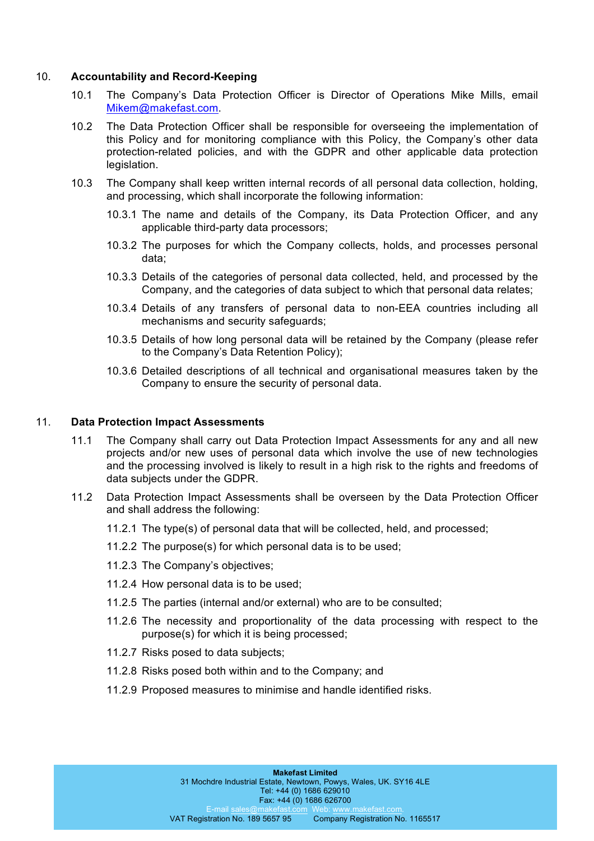#### 10. **Accountability and Record-Keeping**

- 10.1 The Company's Data Protection Officer is Director of Operations Mike Mills, email Mikem@makefast.com.
- 10.2 The Data Protection Officer shall be responsible for overseeing the implementation of this Policy and for monitoring compliance with this Policy, the Company's other data protection-related policies, and with the GDPR and other applicable data protection legislation.
- 10.3 The Company shall keep written internal records of all personal data collection, holding, and processing, which shall incorporate the following information:
	- 10.3.1 The name and details of the Company, its Data Protection Officer, and any applicable third-party data processors;
	- 10.3.2 The purposes for which the Company collects, holds, and processes personal data;
	- 10.3.3 Details of the categories of personal data collected, held, and processed by the Company, and the categories of data subject to which that personal data relates;
	- 10.3.4 Details of any transfers of personal data to non-EEA countries including all mechanisms and security safeguards;
	- 10.3.5 Details of how long personal data will be retained by the Company (please refer to the Company's Data Retention Policy);
	- 10.3.6 Detailed descriptions of all technical and organisational measures taken by the Company to ensure the security of personal data.

### 11. **Data Protection Impact Assessments**

- 11.1 The Company shall carry out Data Protection Impact Assessments for any and all new projects and/or new uses of personal data which involve the use of new technologies and the processing involved is likely to result in a high risk to the rights and freedoms of data subjects under the GDPR.
- 11.2 Data Protection Impact Assessments shall be overseen by the Data Protection Officer and shall address the following:
	- 11.2.1 The type(s) of personal data that will be collected, held, and processed;
	- 11.2.2 The purpose(s) for which personal data is to be used;
	- 11.2.3 The Company's objectives;
	- 11.2.4 How personal data is to be used;
	- 11.2.5 The parties (internal and/or external) who are to be consulted;
	- 11.2.6 The necessity and proportionality of the data processing with respect to the purpose(s) for which it is being processed;
	- 11.2.7 Risks posed to data subjects;
	- 11.2.8 Risks posed both within and to the Company; and
	- 11.2.9 Proposed measures to minimise and handle identified risks.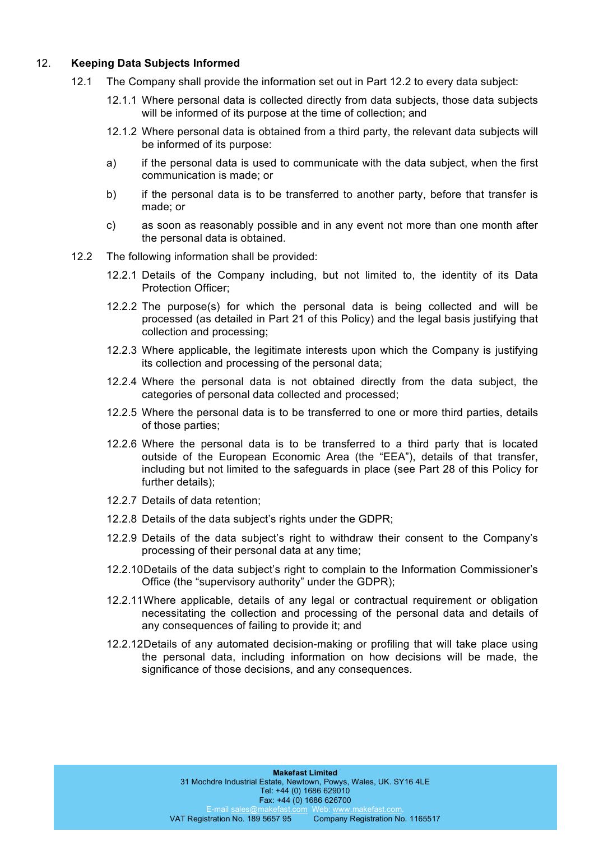## 12. **Keeping Data Subjects Informed**

- 12.1 The Company shall provide the information set out in Part 12.2 to every data subject:
	- 12.1.1 Where personal data is collected directly from data subjects, those data subjects will be informed of its purpose at the time of collection; and
	- 12.1.2 Where personal data is obtained from a third party, the relevant data subjects will be informed of its purpose:
	- a) if the personal data is used to communicate with the data subject, when the first communication is made; or
	- b) if the personal data is to be transferred to another party, before that transfer is made; or
	- c) as soon as reasonably possible and in any event not more than one month after the personal data is obtained.
- 12.2 The following information shall be provided:
	- 12.2.1 Details of the Company including, but not limited to, the identity of its Data Protection Officer;
	- 12.2.2 The purpose(s) for which the personal data is being collected and will be processed (as detailed in Part 21 of this Policy) and the legal basis justifying that collection and processing;
	- 12.2.3 Where applicable, the legitimate interests upon which the Company is justifying its collection and processing of the personal data;
	- 12.2.4 Where the personal data is not obtained directly from the data subject, the categories of personal data collected and processed;
	- 12.2.5 Where the personal data is to be transferred to one or more third parties, details of those parties;
	- 12.2.6 Where the personal data is to be transferred to a third party that is located outside of the European Economic Area (the "EEA"), details of that transfer, including but not limited to the safeguards in place (see Part 28 of this Policy for further details);
	- 12.2.7 Details of data retention;
	- 12.2.8 Details of the data subject's rights under the GDPR;
	- 12.2.9 Details of the data subject's right to withdraw their consent to the Company's processing of their personal data at any time;
	- 12.2.10Details of the data subject's right to complain to the Information Commissioner's Office (the "supervisory authority" under the GDPR);
	- 12.2.11Where applicable, details of any legal or contractual requirement or obligation necessitating the collection and processing of the personal data and details of any consequences of failing to provide it; and
	- 12.2.12Details of any automated decision-making or profiling that will take place using the personal data, including information on how decisions will be made, the significance of those decisions, and any consequences.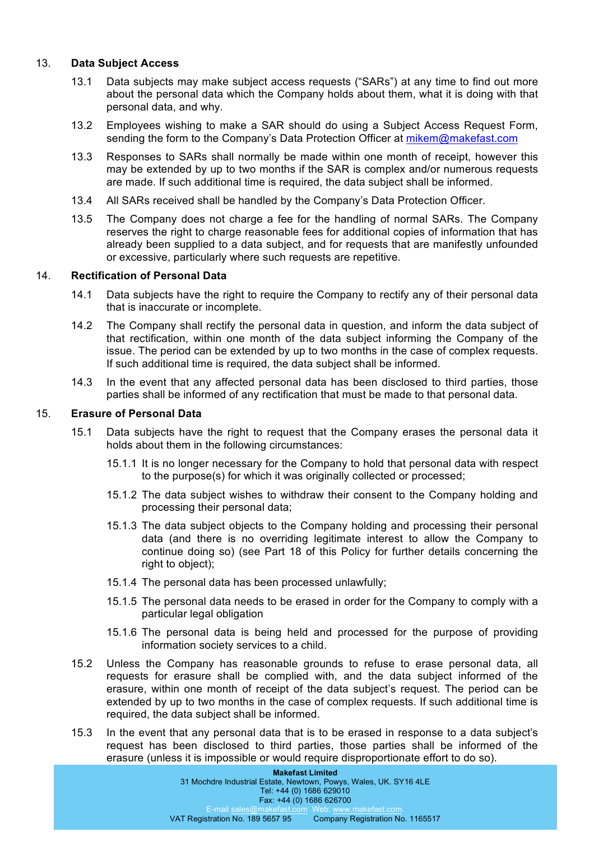## 13. **Data Subject Access**

- 13.1 Data subjects may make subject access requests ("SARs") at any time to find out more about the personal data which the Company holds about them, what it is doing with that personal data, and why.
- 13.2 Employees wishing to make a SAR should do using a Subject Access Request Form, sending the form to the Company's Data Protection Officer at mikem@makefast.com
- 13.3 Responses to SARs shall normally be made within one month of receipt, however this may be extended by up to two months if the SAR is complex and/or numerous requests are made. If such additional time is required, the data subject shall be informed.
- 13.4 All SARs received shall be handled by the Company's Data Protection Officer.
- 13.5 The Company does not charge a fee for the handling of normal SARs. The Company reserves the right to charge reasonable fees for additional copies of information that has already been supplied to a data subject, and for requests that are manifestly unfounded or excessive, particularly where such requests are repetitive.

## 14. **Rectification of Personal Data**

- 14.1 Data subjects have the right to require the Company to rectify any of their personal data that is inaccurate or incomplete.
- 14.2 The Company shall rectify the personal data in question, and inform the data subject of that rectification, within one month of the data subject informing the Company of the issue. The period can be extended by up to two months in the case of complex requests. If such additional time is required, the data subject shall be informed.
- 14.3 In the event that any affected personal data has been disclosed to third parties, those parties shall be informed of any rectification that must be made to that personal data.

## 15. **Erasure of Personal Data**

- 15.1 Data subjects have the right to request that the Company erases the personal data it holds about them in the following circumstances:
	- 15.1.1 It is no longer necessary for the Company to hold that personal data with respect to the purpose(s) for which it was originally collected or processed;
	- 15.1.2 The data subject wishes to withdraw their consent to the Company holding and processing their personal data;
	- 15.1.3 The data subject objects to the Company holding and processing their personal data (and there is no overriding legitimate interest to allow the Company to continue doing so) (see Part 18 of this Policy for further details concerning the right to object);
	- 15.1.4 The personal data has been processed unlawfully;
	- 15.1.5 The personal data needs to be erased in order for the Company to comply with a particular legal obligation
	- 15.1.6 The personal data is being held and processed for the purpose of providing information society services to a child.
- 15.2 Unless the Company has reasonable grounds to refuse to erase personal data, all requests for erasure shall be complied with, and the data subject informed of the erasure, within one month of receipt of the data subject's request. The period can be extended by up to two months in the case of complex requests. If such additional time is required, the data subject shall be informed.
- 15.3 In the event that any personal data that is to be erased in response to a data subject's request has been disclosed to third parties, those parties shall be informed of the erasure (unless it is impossible or would require disproportionate effort to do so).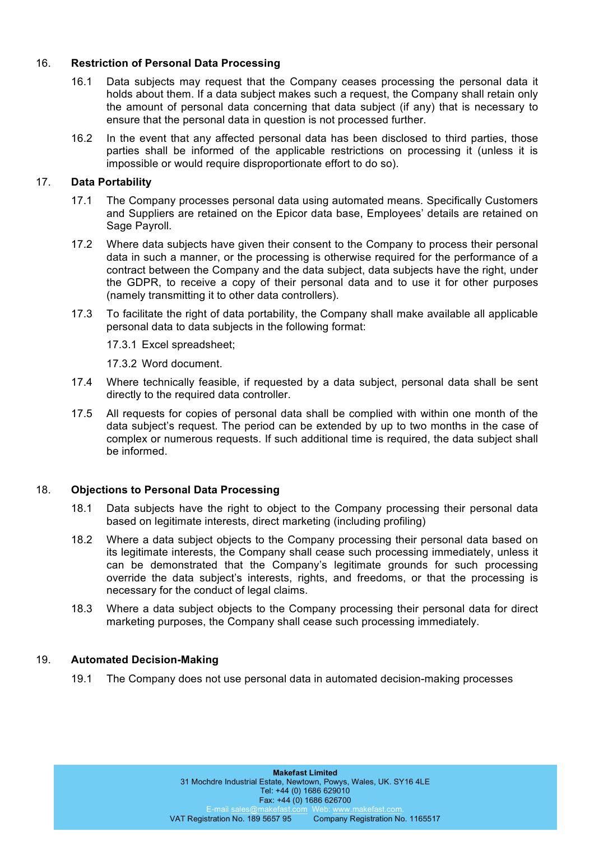## 16. **Restriction of Personal Data Processing**

- 16.1 Data subjects may request that the Company ceases processing the personal data it holds about them. If a data subject makes such a request, the Company shall retain only the amount of personal data concerning that data subject (if any) that is necessary to ensure that the personal data in question is not processed further.
- 16.2 In the event that any affected personal data has been disclosed to third parties, those parties shall be informed of the applicable restrictions on processing it (unless it is impossible or would require disproportionate effort to do so).

## 17. **Data Portability**

- 17.1 The Company processes personal data using automated means. Specifically Customers and Suppliers are retained on the Epicor data base, Employees' details are retained on Sage Payroll.
- 17.2 Where data subjects have given their consent to the Company to process their personal data in such a manner, or the processing is otherwise required for the performance of a contract between the Company and the data subject, data subjects have the right, under the GDPR, to receive a copy of their personal data and to use it for other purposes (namely transmitting it to other data controllers).
- 17.3 To facilitate the right of data portability, the Company shall make available all applicable personal data to data subjects in the following format:

17.3.1 Excel spreadsheet;

17.3.2 Word document.

- 17.4 Where technically feasible, if requested by a data subject, personal data shall be sent directly to the required data controller.
- 17.5 All requests for copies of personal data shall be complied with within one month of the data subject's request. The period can be extended by up to two months in the case of complex or numerous requests. If such additional time is required, the data subject shall be informed.

#### 18. **Objections to Personal Data Processing**

- 18.1 Data subjects have the right to object to the Company processing their personal data based on legitimate interests, direct marketing (including profiling)
- 18.2 Where a data subject objects to the Company processing their personal data based on its legitimate interests, the Company shall cease such processing immediately, unless it can be demonstrated that the Company's legitimate grounds for such processing override the data subject's interests, rights, and freedoms, or that the processing is necessary for the conduct of legal claims.
- 18.3 Where a data subject objects to the Company processing their personal data for direct marketing purposes, the Company shall cease such processing immediately.

#### 19. **Automated Decision-Making**

19.1 The Company does not use personal data in automated decision-making processes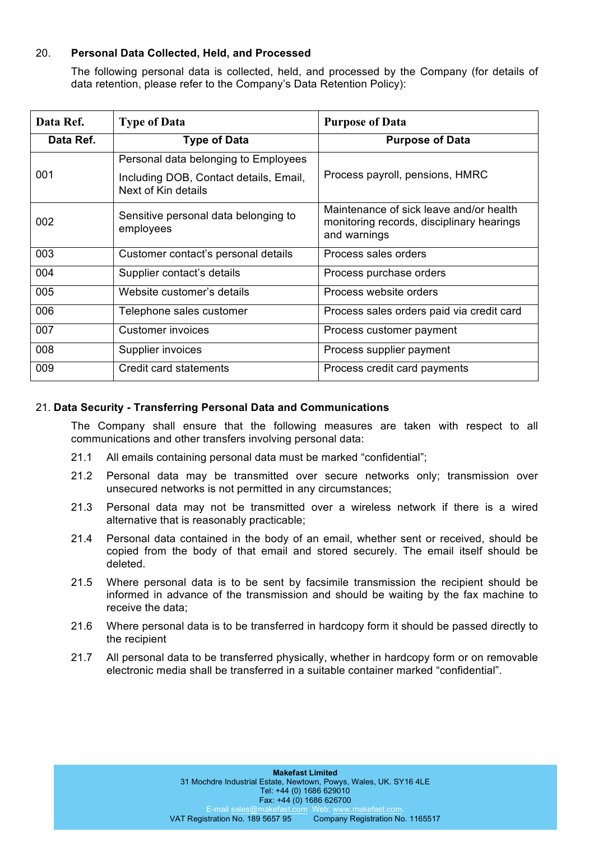## 20. **Personal Data Collected, Held, and Processed**

The following personal data is collected, held, and processed by the Company (for details of data retention, please refer to the Company's Data Retention Policy):

| Data Ref. | <b>Type of Data</b>                                           | <b>Purpose of Data</b>                                                                               |
|-----------|---------------------------------------------------------------|------------------------------------------------------------------------------------------------------|
| Data Ref. | <b>Type of Data</b>                                           | <b>Purpose of Data</b>                                                                               |
|           | Personal data belonging to Employees                          |                                                                                                      |
| 001       | Including DOB, Contact details, Email,<br>Next of Kin details | Process payroll, pensions, HMRC                                                                      |
| 002       | Sensitive personal data belonging to<br>employees             | Maintenance of sick leave and/or health<br>monitoring records, disciplinary hearings<br>and warnings |
| 003       | Customer contact's personal details                           | Process sales orders                                                                                 |
| 004       | Supplier contact's details                                    | Process purchase orders                                                                              |
| 005       | Website customer's details                                    | Process website orders                                                                               |
| 006       | Telephone sales customer                                      | Process sales orders paid via credit card                                                            |
| 007       | Customer invoices                                             | Process customer payment                                                                             |
| 008       | Supplier invoices                                             | Process supplier payment                                                                             |
| 009       | Credit card statements                                        | Process credit card payments                                                                         |

#### 21. **Data Security - Transferring Personal Data and Communications**

The Company shall ensure that the following measures are taken with respect to all communications and other transfers involving personal data:

- 21.1 All emails containing personal data must be marked "confidential";
- 21.2 Personal data may be transmitted over secure networks only; transmission over unsecured networks is not permitted in any circumstances;
- 21.3 Personal data may not be transmitted over a wireless network if there is a wired alternative that is reasonably practicable;
- 21.4 Personal data contained in the body of an email, whether sent or received, should be copied from the body of that email and stored securely. The email itself should be deleted.
- 21.5 Where personal data is to be sent by facsimile transmission the recipient should be informed in advance of the transmission and should be waiting by the fax machine to receive the data;
- 21.6 Where personal data is to be transferred in hardcopy form it should be passed directly to the recipient
- 21.7 All personal data to be transferred physically, whether in hardcopy form or on removable electronic media shall be transferred in a suitable container marked "confidential".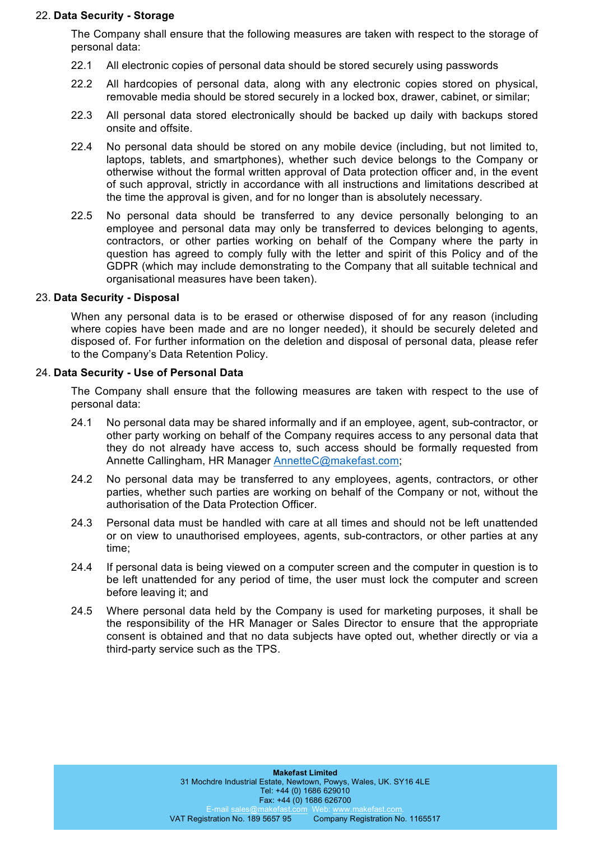#### 22. **Data Security - Storage**

The Company shall ensure that the following measures are taken with respect to the storage of personal data:

- 22.1 All electronic copies of personal data should be stored securely using passwords
- 22.2 All hardcopies of personal data, along with any electronic copies stored on physical, removable media should be stored securely in a locked box, drawer, cabinet, or similar;
- 22.3 All personal data stored electronically should be backed up daily with backups stored onsite and offsite.
- 22.4 No personal data should be stored on any mobile device (including, but not limited to, laptops, tablets, and smartphones), whether such device belongs to the Company or otherwise without the formal written approval of Data protection officer and, in the event of such approval, strictly in accordance with all instructions and limitations described at the time the approval is given, and for no longer than is absolutely necessary.
- 22.5 No personal data should be transferred to any device personally belonging to an employee and personal data may only be transferred to devices belonging to agents, contractors, or other parties working on behalf of the Company where the party in question has agreed to comply fully with the letter and spirit of this Policy and of the GDPR (which may include demonstrating to the Company that all suitable technical and organisational measures have been taken).

#### 23. **Data Security - Disposal**

When any personal data is to be erased or otherwise disposed of for any reason (including where copies have been made and are no longer needed), it should be securely deleted and disposed of. For further information on the deletion and disposal of personal data, please refer to the Company's Data Retention Policy.

#### 24. **Data Security - Use of Personal Data**

The Company shall ensure that the following measures are taken with respect to the use of personal data:

- 24.1 No personal data may be shared informally and if an employee, agent, sub-contractor, or other party working on behalf of the Company requires access to any personal data that they do not already have access to, such access should be formally requested from Annette Callingham, HR Manager AnnetteC@makefast.com;
- 24.2 No personal data may be transferred to any employees, agents, contractors, or other parties, whether such parties are working on behalf of the Company or not, without the authorisation of the Data Protection Officer.
- 24.3 Personal data must be handled with care at all times and should not be left unattended or on view to unauthorised employees, agents, sub-contractors, or other parties at any time;
- 24.4 If personal data is being viewed on a computer screen and the computer in question is to be left unattended for any period of time, the user must lock the computer and screen before leaving it; and
- 24.5 Where personal data held by the Company is used for marketing purposes, it shall be the responsibility of the HR Manager or Sales Director to ensure that the appropriate consent is obtained and that no data subjects have opted out, whether directly or via a third-party service such as the TPS.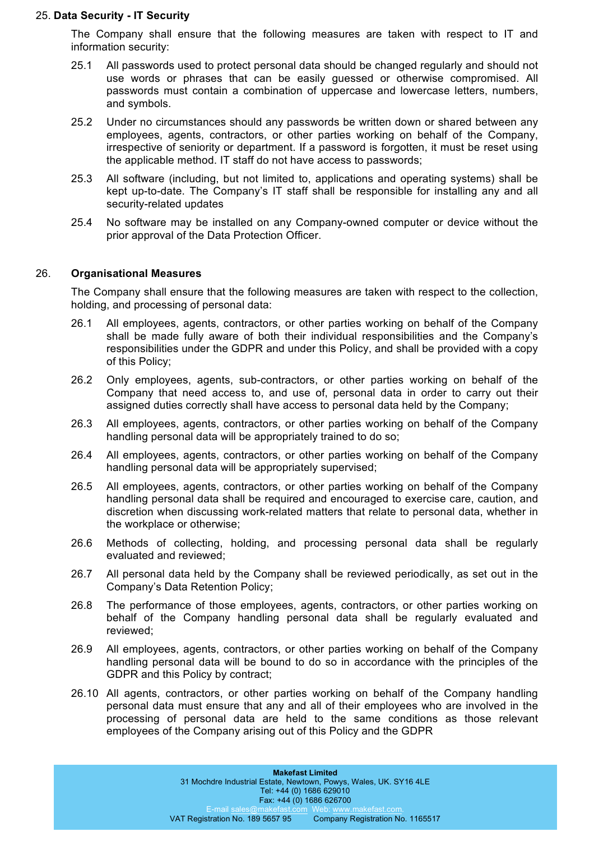#### 25. **Data Security - IT Security**

The Company shall ensure that the following measures are taken with respect to IT and information security:

- 25.1 All passwords used to protect personal data should be changed regularly and should not use words or phrases that can be easily guessed or otherwise compromised. All passwords must contain a combination of uppercase and lowercase letters, numbers, and symbols.
- 25.2 Under no circumstances should any passwords be written down or shared between any employees, agents, contractors, or other parties working on behalf of the Company, irrespective of seniority or department. If a password is forgotten, it must be reset using the applicable method. IT staff do not have access to passwords;
- 25.3 All software (including, but not limited to, applications and operating systems) shall be kept up-to-date. The Company's IT staff shall be responsible for installing any and all security-related updates
- 25.4 No software may be installed on any Company-owned computer or device without the prior approval of the Data Protection Officer.

#### 26. **Organisational Measures**

The Company shall ensure that the following measures are taken with respect to the collection, holding, and processing of personal data:

- 26.1 All employees, agents, contractors, or other parties working on behalf of the Company shall be made fully aware of both their individual responsibilities and the Company's responsibilities under the GDPR and under this Policy, and shall be provided with a copy of this Policy;
- 26.2 Only employees, agents, sub-contractors, or other parties working on behalf of the Company that need access to, and use of, personal data in order to carry out their assigned duties correctly shall have access to personal data held by the Company;
- 26.3 All employees, agents, contractors, or other parties working on behalf of the Company handling personal data will be appropriately trained to do so;
- 26.4 All employees, agents, contractors, or other parties working on behalf of the Company handling personal data will be appropriately supervised;
- 26.5 All employees, agents, contractors, or other parties working on behalf of the Company handling personal data shall be required and encouraged to exercise care, caution, and discretion when discussing work-related matters that relate to personal data, whether in the workplace or otherwise;
- 26.6 Methods of collecting, holding, and processing personal data shall be regularly evaluated and reviewed;
- 26.7 All personal data held by the Company shall be reviewed periodically, as set out in the Company's Data Retention Policy;
- 26.8 The performance of those employees, agents, contractors, or other parties working on behalf of the Company handling personal data shall be regularly evaluated and reviewed;
- 26.9 All employees, agents, contractors, or other parties working on behalf of the Company handling personal data will be bound to do so in accordance with the principles of the GDPR and this Policy by contract;
- 26.10 All agents, contractors, or other parties working on behalf of the Company handling personal data must ensure that any and all of their employees who are involved in the processing of personal data are held to the same conditions as those relevant employees of the Company arising out of this Policy and the GDPR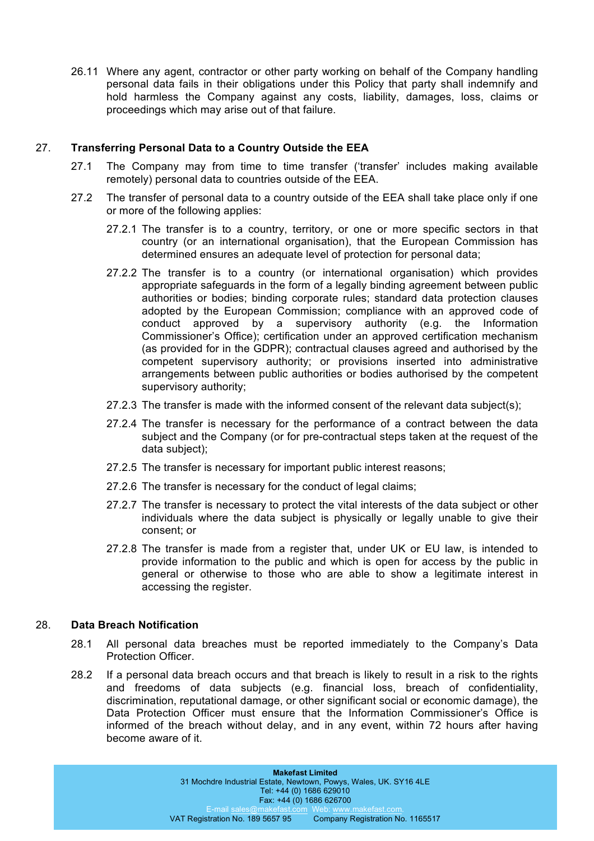26.11 Where any agent, contractor or other party working on behalf of the Company handling personal data fails in their obligations under this Policy that party shall indemnify and hold harmless the Company against any costs, liability, damages, loss, claims or proceedings which may arise out of that failure.

# 27. **Transferring Personal Data to a Country Outside the EEA**

- 27.1 The Company may from time to time transfer ('transfer' includes making available remotely) personal data to countries outside of the EEA.
- 27.2 The transfer of personal data to a country outside of the EEA shall take place only if one or more of the following applies:
	- 27.2.1 The transfer is to a country, territory, or one or more specific sectors in that country (or an international organisation), that the European Commission has determined ensures an adequate level of protection for personal data;
	- 27.2.2 The transfer is to a country (or international organisation) which provides appropriate safeguards in the form of a legally binding agreement between public authorities or bodies; binding corporate rules; standard data protection clauses adopted by the European Commission; compliance with an approved code of conduct approved by a supervisory authority (e.g. the Information Commissioner's Office); certification under an approved certification mechanism (as provided for in the GDPR); contractual clauses agreed and authorised by the competent supervisory authority; or provisions inserted into administrative arrangements between public authorities or bodies authorised by the competent supervisory authority;
	- 27.2.3 The transfer is made with the informed consent of the relevant data subject(s);
	- 27.2.4 The transfer is necessary for the performance of a contract between the data subject and the Company (or for pre-contractual steps taken at the request of the data subject);
	- 27.2.5 The transfer is necessary for important public interest reasons;
	- 27.2.6 The transfer is necessary for the conduct of legal claims;
	- 27.2.7 The transfer is necessary to protect the vital interests of the data subject or other individuals where the data subject is physically or legally unable to give their consent; or
	- 27.2.8 The transfer is made from a register that, under UK or EU law, is intended to provide information to the public and which is open for access by the public in general or otherwise to those who are able to show a legitimate interest in accessing the register.

# 28. **Data Breach Notification**

- 28.1 All personal data breaches must be reported immediately to the Company's Data Protection Officer.
- 28.2 If a personal data breach occurs and that breach is likely to result in a risk to the rights and freedoms of data subjects (e.g. financial loss, breach of confidentiality, discrimination, reputational damage, or other significant social or economic damage), the Data Protection Officer must ensure that the Information Commissioner's Office is informed of the breach without delay, and in any event, within 72 hours after having become aware of it.